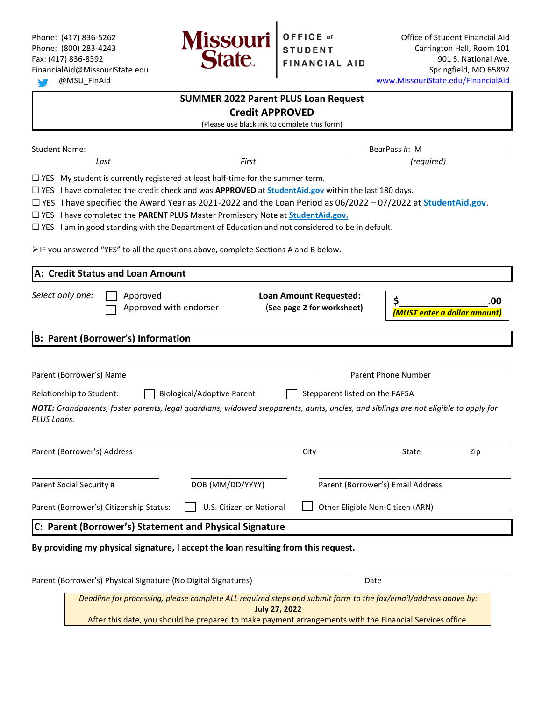

Phone: (417) 836-5262 **Office of Student Financial Aid**  $\blacksquare$  **Office of Student Financial Aid** Phone: (800) 283-4243 **Carrington Hall, Room 101** Carrington Hall, Room 101 Fax: (417) 836-8392 **1210 STATC FINANCIAL AID** 901 S. National Ave. FinancialAid@MissouriState.edu Springfield, MO 65897 @MSU\_FinAid [www.MissouriState.edu/FinancialAid](http://www.missouristate.edu/FinancialAid)

|                                           | <b>SUMMER 2022 Parent PLUS Loan Request</b>                                                                                                                                                                                                                                                                                                                                                                                                                                                                                                                                                                     |                                                             |                                     |  |  |
|-------------------------------------------|-----------------------------------------------------------------------------------------------------------------------------------------------------------------------------------------------------------------------------------------------------------------------------------------------------------------------------------------------------------------------------------------------------------------------------------------------------------------------------------------------------------------------------------------------------------------------------------------------------------------|-------------------------------------------------------------|-------------------------------------|--|--|
| <b>Credit APPROVED</b>                    |                                                                                                                                                                                                                                                                                                                                                                                                                                                                                                                                                                                                                 |                                                             |                                     |  |  |
|                                           | (Please use black ink to complete this form)                                                                                                                                                                                                                                                                                                                                                                                                                                                                                                                                                                    |                                                             |                                     |  |  |
| <b>Student Name:</b>                      |                                                                                                                                                                                                                                                                                                                                                                                                                                                                                                                                                                                                                 |                                                             | BearPass #: M                       |  |  |
| Last                                      | First                                                                                                                                                                                                                                                                                                                                                                                                                                                                                                                                                                                                           |                                                             | (required)                          |  |  |
|                                           | $\Box$ YES My student is currently registered at least half-time for the summer term.<br>$\Box$ YES I have completed the credit check and was APPROVED at StudentAid.gov within the last 180 days.<br>$\Box$ YES I have specified the Award Year as 2021-2022 and the Loan Period as 06/2022 – 07/2022 at StudentAid.gov.<br>□ YES I have completed the PARENT PLUS Master Promissory Note at StudentAid.gov.<br>$\Box$ YES I am in good standing with the Department of Education and not considered to be in default.<br>> IF you answered "YES" to all the questions above, complete Sections A and B below. |                                                             |                                     |  |  |
| A: Credit Status and Loan Amount          |                                                                                                                                                                                                                                                                                                                                                                                                                                                                                                                                                                                                                 |                                                             |                                     |  |  |
| Select only one:                          | Approved<br>Approved with endorser                                                                                                                                                                                                                                                                                                                                                                                                                                                                                                                                                                              | <b>Loan Amount Requested:</b><br>(See page 2 for worksheet) | .00<br>(MUST enter a dollar amount) |  |  |
| <b>B: Parent (Borrower's) Information</b> |                                                                                                                                                                                                                                                                                                                                                                                                                                                                                                                                                                                                                 |                                                             |                                     |  |  |
| Parent (Borrower's) Name                  |                                                                                                                                                                                                                                                                                                                                                                                                                                                                                                                                                                                                                 |                                                             | <b>Parent Phone Number</b>          |  |  |
| Relationship to Student:                  | <b>Biological/Adoptive Parent</b>                                                                                                                                                                                                                                                                                                                                                                                                                                                                                                                                                                               | Stepparent listed on the FAFSA                              |                                     |  |  |
| PLUS Loans.                               | NOTE: Grandparents, foster parents, legal guardians, widowed stepparents, aunts, uncles, and siblings are not eligible to apply for                                                                                                                                                                                                                                                                                                                                                                                                                                                                             |                                                             |                                     |  |  |
| Parent (Borrower's) Address               |                                                                                                                                                                                                                                                                                                                                                                                                                                                                                                                                                                                                                 | City                                                        | State<br>Zip                        |  |  |
| Parent Social Security #                  | DOB (MM/DD/YYYY)                                                                                                                                                                                                                                                                                                                                                                                                                                                                                                                                                                                                |                                                             | Parent (Borrower's) Email Address   |  |  |
| Parent (Borrower's) Citizenship Status:   | U.S. Citizen or National                                                                                                                                                                                                                                                                                                                                                                                                                                                                                                                                                                                        |                                                             | Other Eligible Non-Citizen (ARN) __ |  |  |
|                                           | C: Parent (Borrower's) Statement and Physical Signature                                                                                                                                                                                                                                                                                                                                                                                                                                                                                                                                                         |                                                             |                                     |  |  |
|                                           | By providing my physical signature, I accept the loan resulting from this request.                                                                                                                                                                                                                                                                                                                                                                                                                                                                                                                              |                                                             |                                     |  |  |
|                                           | Parent (Borrower's) Physical Signature (No Digital Signatures)                                                                                                                                                                                                                                                                                                                                                                                                                                                                                                                                                  |                                                             | Date                                |  |  |
|                                           | Deadline for processing, please complete ALL required steps and submit form to the fax/email/address above by:<br><b>July 27, 2022</b>                                                                                                                                                                                                                                                                                                                                                                                                                                                                          |                                                             |                                     |  |  |

After this date, you should be prepared to make payment arrangements with the Financial Services office.